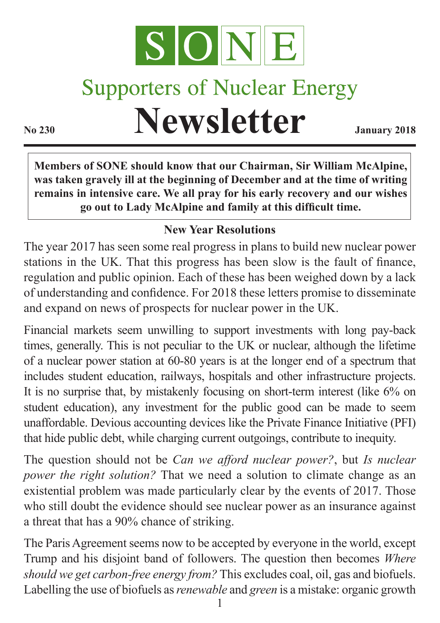

## **Supporters of Nuclear Energy**

**Newsletter January 2018** 

**Members of SONE should know that our Chairman, Sir William McAlpine, was taken gravely ill at the beginning of December and at the time of writing remains in intensive care. We all pray for his early recovery and our wishes go out to Lady McAlpine and family at this difficult time.**

## **New Year Resolutions**

The year 2017 has seen some real progress in plans to build new nuclear power stations in the UK. That this progress has been slow is the fault of finance, regulation and public opinion. Each of these has been weighed down by a lack of understanding and confidence. For 2018 these letters promise to disseminate and expand on news of prospects for nuclear power in the UK.

Financial markets seem unwilling to support investments with long pay-back times, generally. This is not peculiar to the UK or nuclear, although the lifetime of a nuclear power station at 60-80 years is at the longer end of a spectrum that includes student education, railways, hospitals and other infrastructure projects. It is no surprise that, by mistakenly focusing on short-term interest (like 6% on student education), any investment for the public good can be made to seem unaffordable. Devious accounting devices like the Private Finance Initiative (PFI) that hide public debt, while charging current outgoings, contribute to inequity.

The question should not be *Can we afford nuclear power?*, but *Is nuclear power the right solution?* That we need a solution to climate change as an existential problem was made particularly clear by the events of 2017. Those who still doubt the evidence should see nuclear power as an insurance against a threat that has a 90% chance of striking.

The Paris Agreement seems now to be accepted by everyone in the world, except Trump and his disjoint band of followers. The question then becomes *Where should we get carbon-free energy from?* This excludes coal, oil, gas and biofuels. Labelling the use of biofuels as *renewable* and *green* is a mistake: organic growth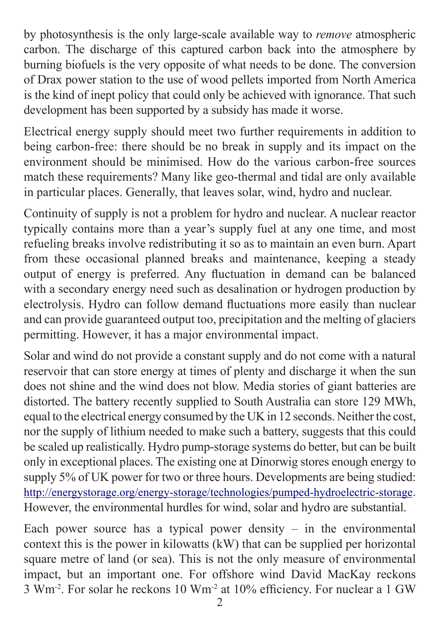by photosynthesis is the only large-scale available way to *remove* atmospheric carbon. The discharge of this captured carbon back into the atmosphere by burning biofuels is the very opposite of what needs to be done. The conversion of Drax power station to the use of wood pellets imported from North America is the kind of inept policy that could only be achieved with ignorance. That such development has been supported by a subsidy has made it worse.

Electrical energy supply should meet two further requirements in addition to being carbon-free: there should be no break in supply and its impact on the environment should be minimised. How do the various carbon-free sources match these requirements? Many like geo-thermal and tidal are only available in particular places. Generally, that leaves solar, wind, hydro and nuclear.

Continuity of supply is not a problem for hydro and nuclear. A nuclear reactor typically contains more than a year's supply fuel at any one time, and most refueling breaks involve redistributing it so as to maintain an even burn. Apart from these occasional planned breaks and maintenance, keeping a steady output of energy is preferred. Any fluctuation in demand can be balanced with a secondary energy need such as desalination or hydrogen production by electrolysis. Hydro can follow demand fluctuations more easily than nuclear and can provide guaranteed output too, precipitation and the melting of glaciers permitting. However, it has a major environmental impact.

Solar and wind do not provide a constant supply and do not come with a natural reservoir that can store energy at times of plenty and discharge it when the sun does not shine and the wind does not blow. Media stories of giant batteries are distorted. The battery recently supplied to South Australia can store 129 MWh, equal to the electrical energy consumed by the UK in 12 seconds. Neither the cost, nor the supply of lithium needed to make such a battery, suggests that this could be scaled up realistically. Hydro pump-storage systems do better, but can be built only in exceptional places. The existing one at Dinorwig stores enough energy to supply 5% of UK power for two or three hours. Developments are being studied: http://energystorage.org/energy-storage/technologies/pumped-hydroelectric-storage. However, the environmental hurdles for wind, solar and hydro are substantial.

Each power source has a typical power density  $-$  in the environmental context this is the power in kilowatts (kW) that can be supplied per horizontal square metre of land (or sea). This is not the only measure of environmental impact, but an important one. For offshore wind David MacKay reckons 3 Wm-2. For solar he reckons 10 Wm-2 at 10% efficiency. For nuclear a 1 GW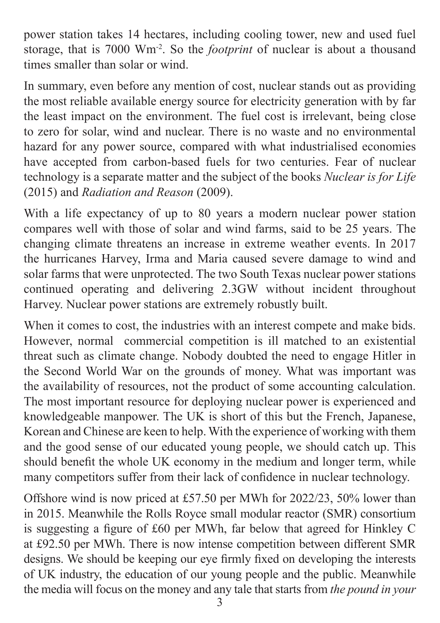power station takes 14 hectares, including cooling tower, new and used fuel storage, that is 7000 Wm-2. So the *footprint* of nuclear is about a thousand times smaller than solar or wind.

In summary, even before any mention of cost, nuclear stands out as providing the most reliable available energy source for electricity generation with by far the least impact on the environment. The fuel cost is irrelevant, being close to zero for solar, wind and nuclear. There is no waste and no environmental hazard for any power source, compared with what industrialised economies have accepted from carbon-based fuels for two centuries. Fear of nuclear technology is a separate matter and the subject of the books *Nuclear is for Life*  (2015) and *Radiation and Reason* (2009).

With a life expectancy of up to 80 years a modern nuclear power station compares well with those of solar and wind farms, said to be 25 years. The changing climate threatens an increase in extreme weather events. In 2017 the hurricanes Harvey, Irma and Maria caused severe damage to wind and solar farms that were unprotected. The two South Texas nuclear power stations continued operating and delivering 2.3GW without incident throughout Harvey. Nuclear power stations are extremely robustly built.

When it comes to cost, the industries with an interest compete and make bids. However, normal commercial competition is ill matched to an existential threat such as climate change. Nobody doubted the need to engage Hitler in the Second World War on the grounds of money. What was important was the availability of resources, not the product of some accounting calculation. The most important resource for deploying nuclear power is experienced and knowledgeable manpower. The UK is short of this but the French, Japanese, Korean and Chinese are keen to help. With the experience of working with them and the good sense of our educated young people, we should catch up. This should benefit the whole UK economy in the medium and longer term, while many competitors suffer from their lack of confidence in nuclear technology.

Offshore wind is now priced at £57.50 per MWh for 2022/23, 50% lower than in 2015. Meanwhile the Rolls Royce small modular reactor (SMR) consortium is suggesting a figure of £60 per MWh, far below that agreed for Hinkley C at £92.50 per MWh. There is now intense competition between different SMR designs. We should be keeping our eye firmly fixed on developing the interests of UK industry, the education of our young people and the public. Meanwhile the media will focus on the money and any tale that starts from *the pound in your*